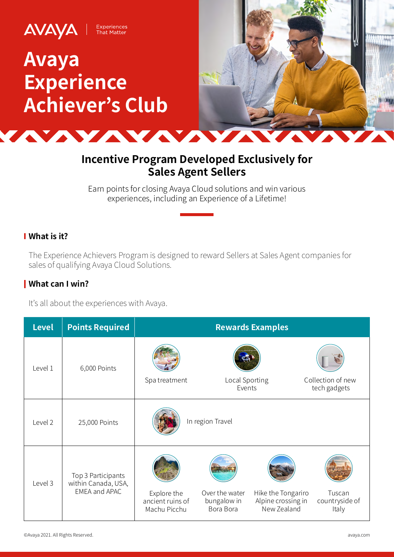

# **Incentive Program Developed Exclusively for Sales Agent Sellers**

Earn points for closing Avaya Cloud solutions and win various experiences, including an Experience of a Lifetime!

## **What is it?**

The Experience Achievers Program is designed to reward Sellers at Sales Agent companies for sales of qualifying Avaya Cloud Solutions.

## **What can I win?**

It's all about the experiences with Avaya.

| <b>Level</b> | <b>Points Required</b>                                            | <b>Rewards Examples</b>                         |                                            |                                                         |                                   |
|--------------|-------------------------------------------------------------------|-------------------------------------------------|--------------------------------------------|---------------------------------------------------------|-----------------------------------|
| Level 1      | 6,000 Points                                                      | Spa treatment                                   | Local Sporting<br>Events                   |                                                         | Collection of new<br>tech gadgets |
| Level 2      | 25,000 Points                                                     | In region Travel                                |                                            |                                                         |                                   |
| Level 3      | Top 3 Participants<br>within Canada, USA,<br><b>EMEA and APAC</b> | Explore the<br>ancient ruins of<br>Machu Picchu | Over the water<br>bungalow in<br>Bora Bora | Hike the Tongariro<br>Alpine crossing in<br>New Zealand | Tuscan<br>countryside of<br>Italy |